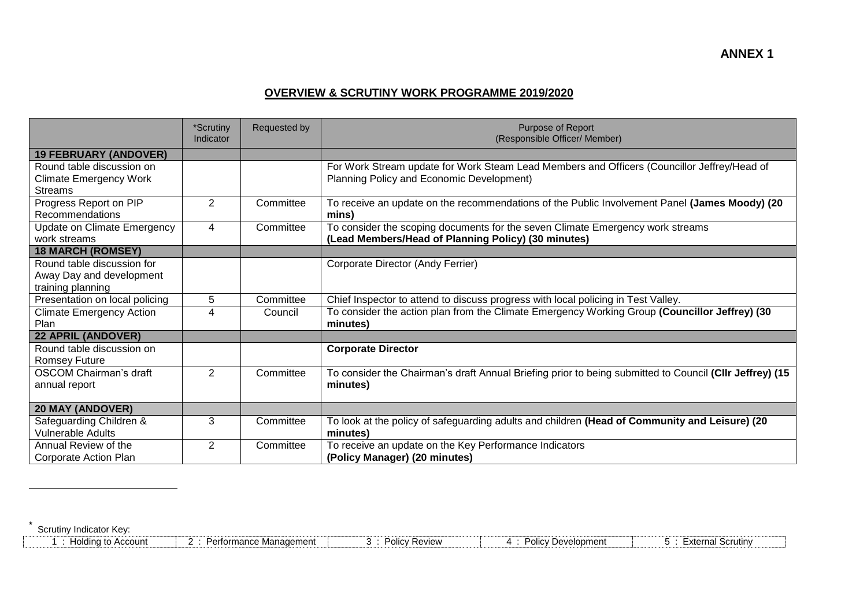## **OVERVIEW & SCRUTINY WORK PROGRAMME 2019/2020**

|                                           | *Scrutiny<br>Indicator  | Requested by | <b>Purpose of Report</b><br>(Responsible Officer/ Member)                                               |
|-------------------------------------------|-------------------------|--------------|---------------------------------------------------------------------------------------------------------|
| <b>19 FEBRUARY (ANDOVER)</b>              |                         |              |                                                                                                         |
| Round table discussion on                 |                         |              | For Work Stream update for Work Steam Lead Members and Officers (Councillor Jeffrey/Head of             |
| <b>Climate Emergency Work</b>             |                         |              | Planning Policy and Economic Development)                                                               |
| <b>Streams</b>                            |                         |              |                                                                                                         |
| Progress Report on PIP<br>Recommendations | $\overline{2}$          | Committee    | To receive an update on the recommendations of the Public Involvement Panel (James Moody) (20<br>mins)  |
| Update on Climate Emergency               | 4                       | Committee    | To consider the scoping documents for the seven Climate Emergency work streams                          |
| work streams                              |                         |              | (Lead Members/Head of Planning Policy) (30 minutes)                                                     |
| <b>18 MARCH (ROMSEY)</b>                  |                         |              |                                                                                                         |
| Round table discussion for                |                         |              | Corporate Director (Andy Ferrier)                                                                       |
| Away Day and development                  |                         |              |                                                                                                         |
| training planning                         |                         |              |                                                                                                         |
| Presentation on local policing            | 5                       | Committee    | Chief Inspector to attend to discuss progress with local policing in Test Valley.                       |
| <b>Climate Emergency Action</b>           | $\overline{\mathbf{4}}$ | Council      | To consider the action plan from the Climate Emergency Working Group (Councillor Jeffrey) (30           |
| Plan                                      |                         |              | minutes)                                                                                                |
| <b>22 APRIL (ANDOVER)</b>                 |                         |              |                                                                                                         |
| Round table discussion on                 |                         |              | <b>Corporate Director</b>                                                                               |
| <b>Romsey Future</b>                      |                         |              |                                                                                                         |
| <b>OSCOM Chairman's draft</b>             | 2                       | Committee    | To consider the Chairman's draft Annual Briefing prior to being submitted to Council (CIIr Jeffrey) (15 |
| annual report                             |                         |              | minutes)                                                                                                |
|                                           |                         |              |                                                                                                         |
| <b>20 MAY (ANDOVER)</b>                   |                         |              |                                                                                                         |
| Safeguarding Children &                   | 3                       | Committee    | To look at the policy of safeguarding adults and children (Head of Community and Leisure) (20           |
| <b>Vulnerable Adults</b>                  |                         |              | minutes)                                                                                                |
| Annual Review of the                      | $\overline{2}$          | Committee    | To receive an update on the Key Performance Indicators                                                  |
| Corporate Action Plan                     |                         |              | (Policy Manager) (20 minutes)                                                                           |

**\*** Scrutiny Indicator Key:

 $\overline{a}$ 

| Holding to Account | ™ance Management<br>. ഗന്നദ്വ <u>റ</u> െ<br>◡ | Review | Development<br>Policy | Scrutiny<br>∾torn<br>x⊪ |
|--------------------|-----------------------------------------------|--------|-----------------------|-------------------------|
|--------------------|-----------------------------------------------|--------|-----------------------|-------------------------|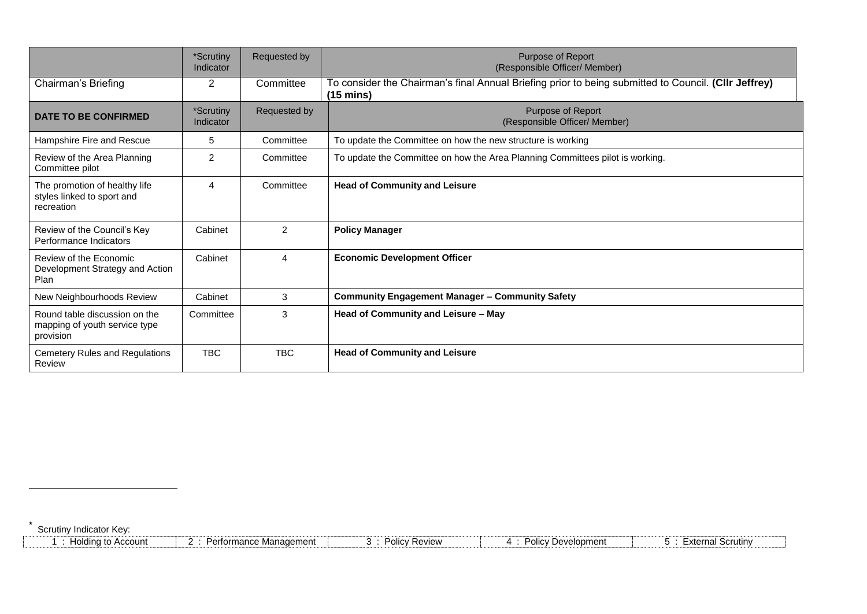|                                                                             | *Scrutiny<br>Indicator | Requested by | Purpose of Report<br>(Responsible Officer/ Member)                                                                          |  |
|-----------------------------------------------------------------------------|------------------------|--------------|-----------------------------------------------------------------------------------------------------------------------------|--|
| Chairman's Briefing                                                         | 2                      | Committee    | To consider the Chairman's final Annual Briefing prior to being submitted to Council. (Cllr Jeffrey)<br>$(15 \text{ mins})$ |  |
| <b>DATE TO BE CONFIRMED</b>                                                 | *Scrutiny<br>Indicator | Requested by | Purpose of Report<br>(Responsible Officer/ Member)                                                                          |  |
| Hampshire Fire and Rescue                                                   | 5                      | Committee    | To update the Committee on how the new structure is working                                                                 |  |
| Review of the Area Planning<br>Committee pilot                              | $\overline{2}$         | Committee    | To update the Committee on how the Area Planning Committees pilot is working.                                               |  |
| The promotion of healthy life<br>styles linked to sport and<br>recreation   | 4                      | Committee    | <b>Head of Community and Leisure</b>                                                                                        |  |
| Review of the Council's Key<br>Performance Indicators                       | Cabinet                | 2            | <b>Policy Manager</b>                                                                                                       |  |
| Review of the Economic<br>Development Strategy and Action<br>Plan           | Cabinet                | 4            | <b>Economic Development Officer</b>                                                                                         |  |
| New Neighbourhoods Review                                                   | Cabinet                | 3            | <b>Community Engagement Manager - Community Safety</b>                                                                      |  |
| Round table discussion on the<br>mapping of youth service type<br>provision | Committee              | 3            | Head of Community and Leisure - May                                                                                         |  |
| Cemetery Rules and Regulations<br>Review                                    | <b>TBC</b>             | <b>TBC</b>   | <b>Head of Community and Leisure</b>                                                                                        |  |

**\*** Scrutiny Indicator Key:

 $\overline{a}$ 

| Holding to Account | Performance Management | <b>Policy Review</b> | Policy Development | <sup>⊏</sup> xternal Scrutin∨ |
|--------------------|------------------------|----------------------|--------------------|-------------------------------|
|--------------------|------------------------|----------------------|--------------------|-------------------------------|